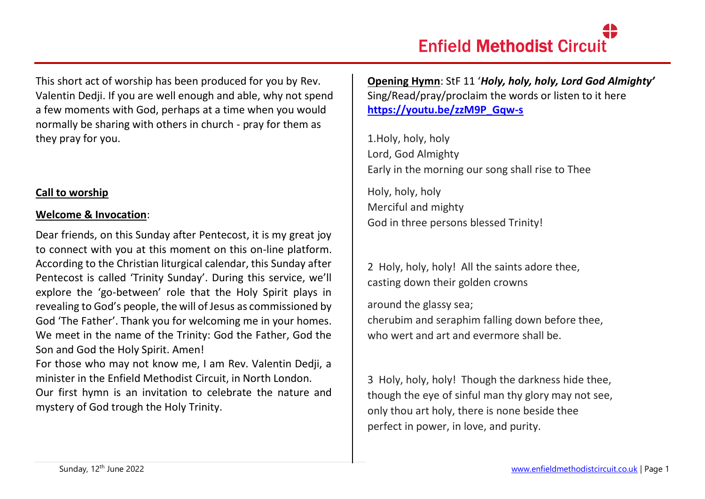This short act of worship has been produced for you by Rev. Valentin Dedji. If you are well enough and able, why not spend a few moments with God, perhaps at a time when you would normally be sharing with others in church - pray for them as they pray for you.

## **Call to worship**

#### **Welcome & Invocation**:

Dear friends, on this Sunday after Pentecost, it is my great joy to connect with you at this moment on this on-line platform. According to the Christian liturgical calendar, this Sunday after Pentecost is called 'Trinity Sunday'. During this service, we'll explore the 'go-between' role that the Holy Spirit plays in revealing to God's people, the will of Jesus as commissioned by God 'The Father'. Thank you for welcoming me in your homes. We meet in the name of the Trinity: God the Father, God the Son and God the Holy Spirit. Amen!

For those who may not know me, I am Rev. Valentin Dedji, a minister in the Enfield Methodist Circuit, in North London.

Our first hymn is an invitation to celebrate the nature and mystery of God trough the Holy Trinity.

**Opening Hymn**: StF 11 '*Holy, holy, holy, Lord God Almighty'* Sing/Read/pray/proclaim the words or listen to it here **[https://youtu.be/zzM9P\\_Gqw-s](https://youtu.be/zzM9P_Gqw-s)**

1.Holy, holy, holy Lord, God Almighty Early in the morning our song shall rise to Thee

Holy, holy, holy Merciful and mighty God in three persons blessed Trinity!

2 Holy, holy, holy! All the saints adore thee, casting down their golden crowns

around the glassy sea; cherubim and seraphim falling down before thee, who wert and art and evermore shall be.

3 Holy, holy, holy! Though the darkness hide thee, though the eye of sinful man thy glory may not see, only thou art holy, there is none beside thee perfect in power, in love, and purity.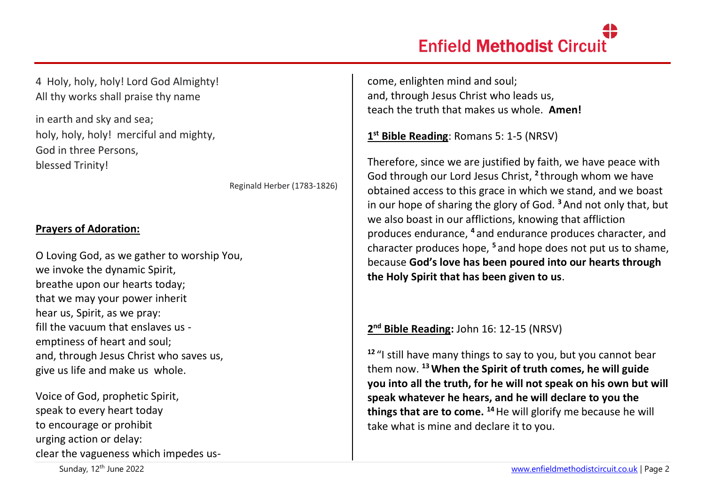# **Enfield Methodist Circuit**

4 Holy, holy, holy! Lord God Almighty! All thy works shall praise thy name

in earth and sky and sea; holy, holy, holy! merciful and mighty, God in three Persons, blessed Trinity!

Reginald Herber (1783-1826)

## **Prayers of Adoration:**

O Loving God, as we gather to worship You, we invoke the dynamic Spirit, breathe upon our hearts today; that we may your power inherit hear us, Spirit, as we pray: fill the vacuum that enslaves us emptiness of heart and soul; and, through Jesus Christ who saves us, give us life and make us whole.

Voice of God, prophetic Spirit, speak to every heart today to encourage or prohibit urging action or delay: clear the vagueness which impedes uscome, enlighten mind and soul; and, through Jesus Christ who leads us, teach the truth that makes us whole. **Amen!**

**1 st Bible Reading**: Romans 5: 1-5 (NRSV)

Therefore, since we are justified by faith, we have peace with God through our Lord Jesus Christ, **<sup>2</sup>** through whom we have obtained access to this grace in which we stand, and we boast in our hope of sharing the glory of God. **<sup>3</sup>**And not only that, but we also boast in our afflictions, knowing that affliction produces endurance, **<sup>4</sup>** and endurance produces character, and character produces hope, **<sup>5</sup>** and hope does not put us to shame, because **God's love has been poured into our hearts through the Holy Spirit that has been given to us**.

**2 nd Bible Reading:** John 16: 12-15 (NRSV)

**<sup>12</sup>** "I still have many things to say to you, but you cannot bear them now. **<sup>13</sup>When the Spirit of truth comes, he will guide you into all the truth, for he will not speak on his own but will speak whatever he hears, and he will declare to you the things that are to come. <sup>14</sup>**He will glorify me because he will take what is mine and declare it to you.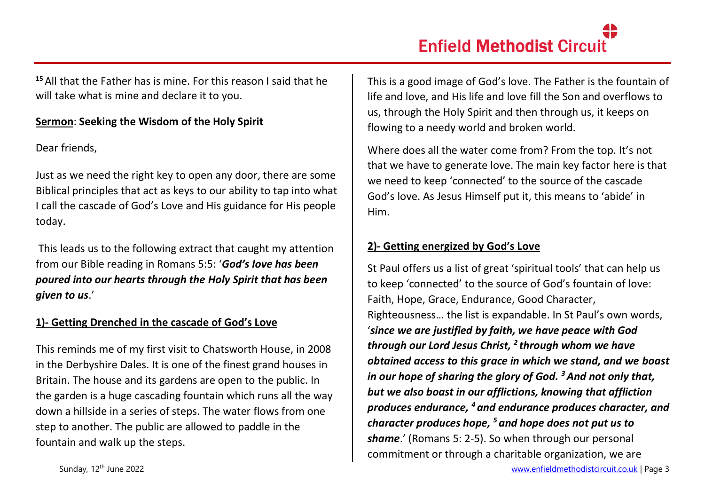**<sup>15</sup>**All that the Father has is mine. For this reason I said that he will take what is mine and declare it to you.

### **Sermon**: **Seeking the Wisdom of the Holy Spirit**

Dear friends,

Just as we need the right key to open any door, there are some Biblical principles that act as keys to our ability to tap into what I call the cascade of God's Love and His guidance for His people today.

This leads us to the following extract that caught my attention from our Bible reading in Romans 5:5: '*God's love has been poured into our hearts through the Holy Spirit that has been given to us*.'

## **1)- Getting Drenched in the cascade of God's Love**

This reminds me of my first visit to Chatsworth House, in 2008 in the Derbyshire Dales. It is one of the finest grand houses in Britain. The house and its gardens are open to the public. In the garden is a huge cascading fountain which runs all the way down a hillside in a series of steps. The water flows from one step to another. The public are allowed to paddle in the fountain and walk up the steps.

This is a good image of God's love. The Father is the fountain of life and love, and His life and love fill the Son and overflows to us, through the Holy Spirit and then through us, it keeps on flowing to a needy world and broken world.

Where does all the water come from? From the top. It's not that we have to generate love. The main key factor here is that we need to keep 'connected' to the source of the cascade God's love. As Jesus Himself put it, this means to 'abide' in Him.

## **2)- Getting energized by God's Love**

St Paul offers us a list of great 'spiritual tools' that can help us to keep 'connected' to the source of God's fountain of love: Faith, Hope, Grace, Endurance, Good Character, Righteousness… the list is expandable. In St Paul's own words, '*since we are justified by faith, we have peace with God through our Lord Jesus Christ, <sup>2</sup> through whom we have obtained access to this grace in which we stand, and we boast in our hope of sharing the glory of God. <sup>3</sup>And not only that, but we also boast in our afflictions, knowing that affliction produces endurance, <sup>4</sup> and endurance produces character, and character produces hope, <sup>5</sup> and hope does not put us to shame*.' (Romans 5: 2-5). So when through our personal commitment or through a charitable organization, we are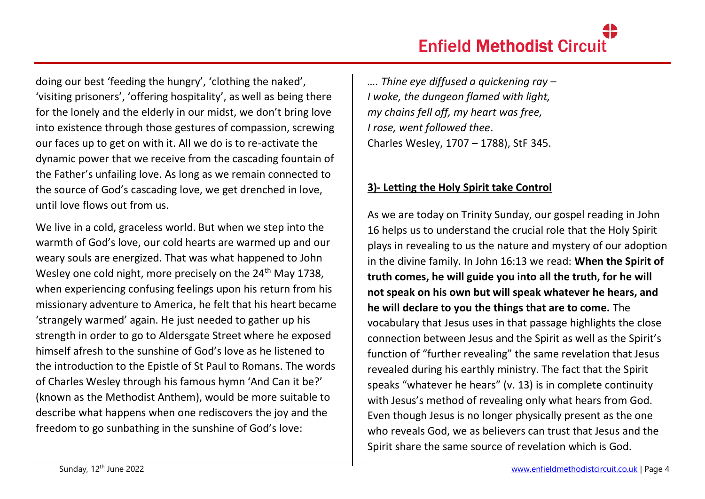doing our best 'feeding the hungry', 'clothing the naked', 'visiting prisoners', 'offering hospitality', as well as being there for the lonely and the elderly in our midst, we don't bring love into existence through those gestures of compassion, screwing our faces up to get on with it. All we do is to re-activate the dynamic power that we receive from the cascading fountain of the Father's unfailing love. As long as we remain connected to the source of God's cascading love, we get drenched in love, until love flows out from us.

We live in a cold, graceless world. But when we step into the warmth of God's love, our cold hearts are warmed up and our weary souls are energized. That was what happened to John Wesley one cold night, more precisely on the 24<sup>th</sup> May 1738, when experiencing confusing feelings upon his return from his missionary adventure to America, he felt that his heart became 'strangely warmed' again. He just needed to gather up his strength in order to go to Aldersgate Street where he exposed himself afresh to the sunshine of God's love as he listened to the introduction to the Epistle of St Paul to Romans. The words of Charles Wesley through his famous hymn 'And Can it be?' (known as the Methodist Anthem), would be more suitable to describe what happens when one rediscovers the joy and the freedom to go sunbathing in the sunshine of God's love:

*…. Thine eye diffused a quickening ray – I woke, the dungeon flamed with light, my chains fell off, my heart was free, I rose, went followed thee*. Charles Wesley, 1707 – 1788), StF 345.

## **3)- Letting the Holy Spirit take Control**

As we are today on Trinity Sunday, our gospel reading in John 16 helps us to understand the crucial role that the Holy Spirit plays in revealing to us the nature and mystery of our adoption in the divine family. In John 16:13 we read: **When the Spirit of truth comes, he will guide you into all the truth, for he will not speak on his own but will speak whatever he hears, and he will declare to you the things that are to come.** The vocabulary that Jesus uses in that passage highlights the close connection between Jesus and the Spirit as well as the Spirit's function of "further revealing" the same revelation that Jesus revealed during his earthly ministry. The fact that the Spirit speaks "whatever he hears" (v. 13) is in complete continuity with Jesus's method of revealing only what hears from God. Even though Jesus is no longer physically present as the one who reveals God, we as believers can trust that Jesus and the Spirit share the same source of revelation which is God.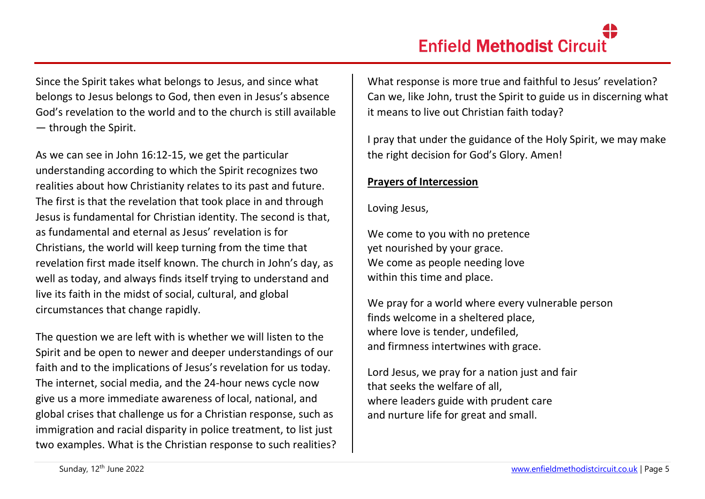Since the Spirit takes what belongs to Jesus, and since what belongs to Jesus belongs to God, then even in Jesus's absence God's revelation to the world and to the church is still available — through the Spirit.

As we can see in John 16:12-15, we get the particular understanding according to which the Spirit recognizes two realities about how Christianity relates to its past and future. The first is that the revelation that took place in and through Jesus is fundamental for Christian identity. The second is that, as fundamental and eternal as Jesus' revelation is for Christians, the world will keep turning from the time that revelation first made itself known. The church in John's day, as well as today, and always finds itself trying to understand and live its faith in the midst of social, cultural, and global circumstances that change rapidly.

The question we are left with is whether we will listen to the Spirit and be open to newer and deeper understandings of our faith and to the implications of Jesus's revelation for us today. The internet, social media, and the 24-hour news cycle now give us a more immediate awareness of local, national, and global crises that challenge us for a Christian response, such as immigration and racial disparity in police treatment, to list just two examples. What is the Christian response to such realities? What response is more true and faithful to Jesus' revelation? Can we, like John, trust the Spirit to guide us in discerning what it means to live out Christian faith today?

I pray that under the guidance of the Holy Spirit, we may make the right decision for God's Glory. Amen!

#### **Prayers of Intercession**

Loving Jesus,

We come to you with no pretence yet nourished by your grace. We come as people needing love within this time and place.

We pray for a world where every vulnerable person finds welcome in a sheltered place, where love is tender, undefiled, and firmness intertwines with grace.

Lord Jesus, we pray for a nation just and fair that seeks the welfare of all, where leaders guide with prudent care and nurture life for great and small.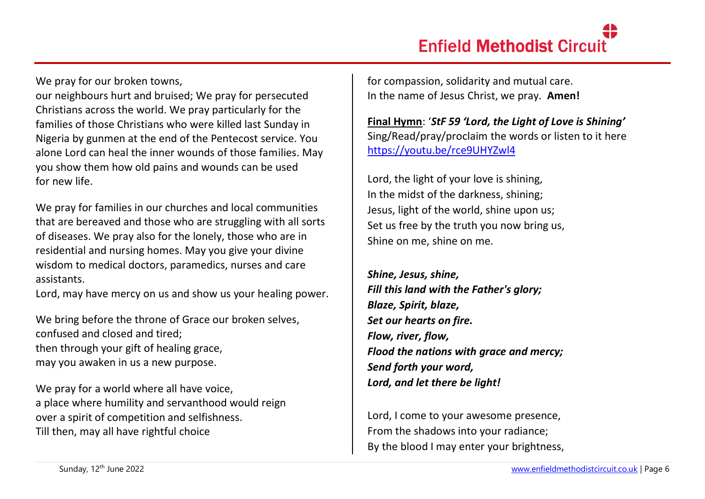We pray for our broken towns.

our neighbours hurt and bruised; We pray for persecuted Christians across the world. We pray particularly for the families of those Christians who were killed last Sunday in Nigeria by gunmen at the end of the Pentecost service. You alone Lord can heal the inner wounds of those families. May you show them how old pains and wounds can be used for new life.

We pray for families in our churches and local communities that are bereaved and those who are struggling with all sorts of diseases. We pray also for the lonely, those who are in residential and nursing homes. May you give your divine wisdom to medical doctors, paramedics, nurses and care assistants.

Lord, may have mercy on us and show us your healing power.

We bring before the throne of Grace our broken selves, confused and closed and tired; then through your gift of healing grace, may you awaken in us a new purpose.

We pray for a world where all have voice, a place where humility and servanthood would reign over a spirit of competition and selfishness. Till then, may all have rightful choice

for compassion, solidarity and mutual care. In the name of Jesus Christ, we pray. **Amen!**

**Final Hymn**: '*StF 59 'Lord, the Light of Love is Shining'* Sing/Read/pray/proclaim the words or listen to it here <https://youtu.be/rce9UHYZwl4>

Lord, the light of your love is shining, In the midst of the darkness, shining; Jesus, light of the world, shine upon us; Set us free by the truth you now bring us, Shine on me, shine on me.

*Shine, Jesus, shine, Fill this land with the Father's glory; Blaze, Spirit, blaze, Set our hearts on fire. Flow, river, flow, Flood the nations with grace and mercy; Send forth your word, Lord, and let there be light!*

Lord, I come to your awesome presence, From the shadows into your radiance; By the blood I may enter your brightness,